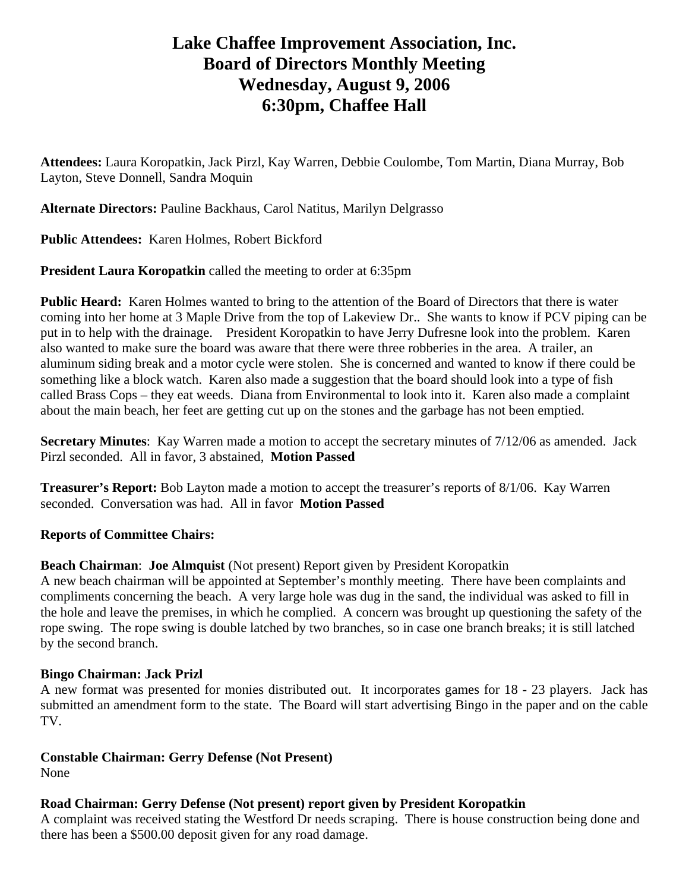# **Lake Chaffee Improvement Association, Inc. Board of Directors Monthly Meeting Wednesday, August 9, 2006 6:30pm, Chaffee Hall**

**Attendees:** Laura Koropatkin, Jack Pirzl, Kay Warren, Debbie Coulombe, Tom Martin, Diana Murray, Bob Layton, Steve Donnell, Sandra Moquin

**Alternate Directors:** Pauline Backhaus, Carol Natitus, Marilyn Delgrasso

**Public Attendees:** Karen Holmes, Robert Bickford

**President Laura Koropatkin** called the meeting to order at 6:35pm

**Public Heard:** Karen Holmes wanted to bring to the attention of the Board of Directors that there is water coming into her home at 3 Maple Drive from the top of Lakeview Dr.. She wants to know if PCV piping can be put in to help with the drainage. President Koropatkin to have Jerry Dufresne look into the problem. Karen also wanted to make sure the board was aware that there were three robberies in the area. A trailer, an aluminum siding break and a motor cycle were stolen. She is concerned and wanted to know if there could be something like a block watch. Karen also made a suggestion that the board should look into a type of fish called Brass Cops – they eat weeds. Diana from Environmental to look into it. Karen also made a complaint about the main beach, her feet are getting cut up on the stones and the garbage has not been emptied.

**Secretary Minutes**: Kay Warren made a motion to accept the secretary minutes of 7/12/06 as amended. Jack Pirzl seconded. All in favor, 3 abstained, **Motion Passed** 

**Treasurer's Report:** Bob Layton made a motion to accept the treasurer's reports of 8/1/06. Kay Warren seconded. Conversation was had. All in favor **Motion Passed**

## **Reports of Committee Chairs:**

**Beach Chairman**: **Joe Almquist** (Not present) Report given by President Koropatkin

A new beach chairman will be appointed at September's monthly meeting. There have been complaints and compliments concerning the beach. A very large hole was dug in the sand, the individual was asked to fill in the hole and leave the premises, in which he complied. A concern was brought up questioning the safety of the rope swing. The rope swing is double latched by two branches, so in case one branch breaks; it is still latched by the second branch.

## **Bingo Chairman: Jack Prizl**

A new format was presented for monies distributed out. It incorporates games for 18 - 23 players. Jack has submitted an amendment form to the state. The Board will start advertising Bingo in the paper and on the cable TV.

# **Constable Chairman: Gerry Defense (Not Present)**

None

# **Road Chairman: Gerry Defense (Not present) report given by President Koropatkin**

A complaint was received stating the Westford Dr needs scraping. There is house construction being done and there has been a \$500.00 deposit given for any road damage.